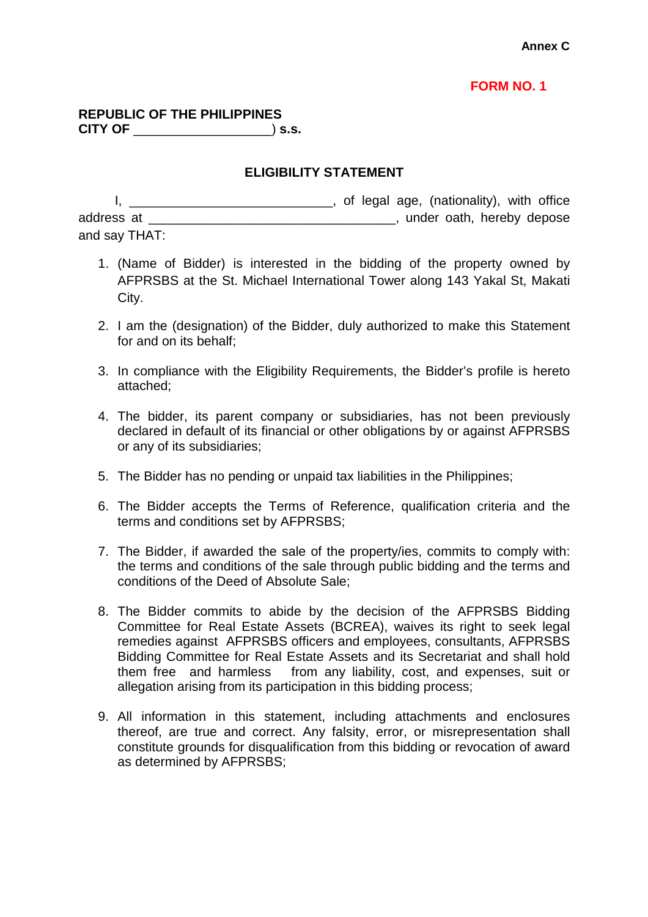## **FORM NO. 1**

## **REPUBLIC OF THE PHILIPPINES CITY OF** \_\_\_\_\_\_\_\_\_\_\_\_\_\_\_\_\_\_\_) **s.s.**

## **ELIGIBILITY STATEMENT**

|               | of legal age, (nationality), with office |
|---------------|------------------------------------------|
| address at    | under oath, hereby depose                |
| and say THAT: |                                          |

- 1. (Name of Bidder) is interested in the bidding of the property owned by AFPRSBS at the St. Michael International Tower along 143 Yakal St, Makati City.
- 2. I am the (designation) of the Bidder, duly authorized to make this Statement for and on its behalf;
- 3. In compliance with the Eligibility Requirements, the Bidder's profile is hereto attached;
- 4. The bidder, its parent company or subsidiaries, has not been previously declared in default of its financial or other obligations by or against AFPRSBS or any of its subsidiaries;
- 5. The Bidder has no pending or unpaid tax liabilities in the Philippines;
- 6. The Bidder accepts the Terms of Reference, qualification criteria and the terms and conditions set by AFPRSBS;
- 7. The Bidder, if awarded the sale of the property/ies, commits to comply with: the terms and conditions of the sale through public bidding and the terms and conditions of the Deed of Absolute Sale;
- 8. The Bidder commits to abide by the decision of the AFPRSBS Bidding Committee for Real Estate Assets (BCREA), waives its right to seek legal remedies against AFPRSBS officers and employees, consultants, AFPRSBS Bidding Committee for Real Estate Assets and its Secretariat and shall hold them free and harmless from any liability, cost, and expenses, suit or allegation arising from its participation in this bidding process;
- 9. All information in this statement, including attachments and enclosures thereof, are true and correct. Any falsity, error, or misrepresentation shall constitute grounds for disqualification from this bidding or revocation of award as determined by AFPRSBS;